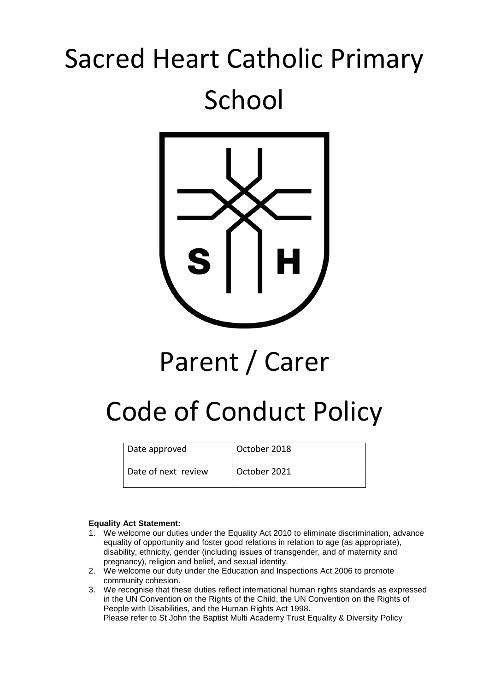# Sacred Heart Catholic Primary School



# Parent / Carer

# Code of Conduct Policy

| Date approved       | October 2018 |
|---------------------|--------------|
| Date of next review | October 2021 |

#### **Equality Act Statement:**

- 1. We welcome our duties under the Equality Act 2010 to eliminate discrimination, advance equality of opportunity and foster good relations in relation to age (as appropriate), disability, ethnicity, gender (including issues of transgender, and of maternity and pregnancy), religion and belief, and sexual identity.
- 2. We welcome our duty under the Education and Inspections Act 2006 to promote community cohesion.
- 3. We recognise that these duties reflect international human rights standards as expressed in the UN Convention on the Rights of the Child, the UN Convention on the Rights of People with Disabilities, and the Human Rights Act 1998. Please refer to St John the Baptist Multi Academy Trust Equality & Diversity Policy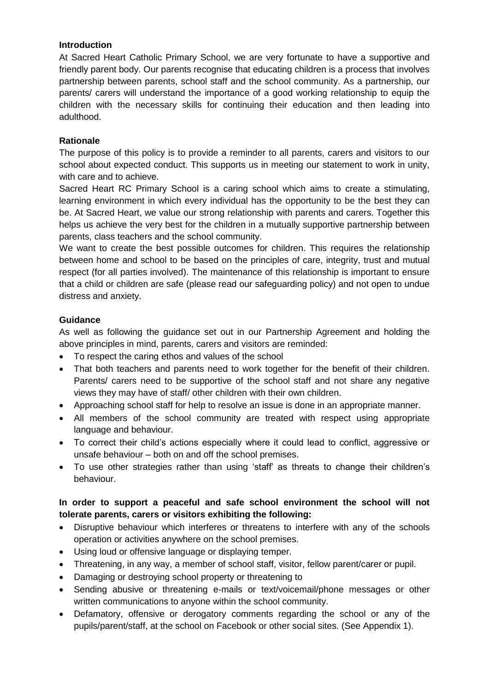# **Introduction**

At Sacred Heart Catholic Primary School, we are very fortunate to have a supportive and friendly parent body. Our parents recognise that educating children is a process that involves partnership between parents, school staff and the school community. As a partnership, our parents/ carers will understand the importance of a good working relationship to equip the children with the necessary skills for continuing their education and then leading into adulthood.

# **Rationale**

The purpose of this policy is to provide a reminder to all parents, carers and visitors to our school about expected conduct. This supports us in meeting our statement to work in unity, with care and to achieve.

Sacred Heart RC Primary School is a caring school which aims to create a stimulating, learning environment in which every individual has the opportunity to be the best they can be. At Sacred Heart, we value our strong relationship with parents and carers. Together this helps us achieve the very best for the children in a mutually supportive partnership between parents, class teachers and the school community.

We want to create the best possible outcomes for children. This requires the relationship between home and school to be based on the principles of care, integrity, trust and mutual respect (for all parties involved). The maintenance of this relationship is important to ensure that a child or children are safe (please read our safeguarding policy) and not open to undue distress and anxiety.

# **Guidance**

As well as following the guidance set out in our Partnership Agreement and holding the above principles in mind, parents, carers and visitors are reminded:

- To respect the caring ethos and values of the school
- That both teachers and parents need to work together for the benefit of their children. Parents/ carers need to be supportive of the school staff and not share any negative views they may have of staff/ other children with their own children.
- Approaching school staff for help to resolve an issue is done in an appropriate manner.
- All members of the school community are treated with respect using appropriate language and behaviour.
- To correct their child's actions especially where it could lead to conflict, aggressive or unsafe behaviour – both on and off the school premises.
- To use other strategies rather than using 'staff' as threats to change their children's behaviour.

# **In order to support a peaceful and safe school environment the school will not tolerate parents, carers or visitors exhibiting the following:**

- Disruptive behaviour which interferes or threatens to interfere with any of the schools operation or activities anywhere on the school premises.
- Using loud or offensive language or displaying temper.
- Threatening, in any way, a member of school staff, visitor, fellow parent/carer or pupil.
- Damaging or destroying school property or threatening to
- Sending abusive or threatening e-mails or text/voicemail/phone messages or other written communications to anyone within the school community.
- Defamatory, offensive or derogatory comments regarding the school or any of the pupils/parent/staff, at the school on Facebook or other social sites. (See Appendix 1).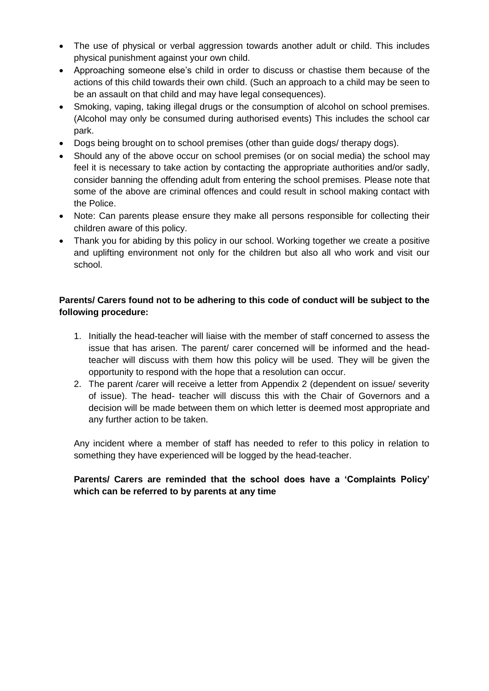- The use of physical or verbal aggression towards another adult or child. This includes physical punishment against your own child.
- Approaching someone else's child in order to discuss or chastise them because of the actions of this child towards their own child. (Such an approach to a child may be seen to be an assault on that child and may have legal consequences).
- Smoking, vaping, taking illegal drugs or the consumption of alcohol on school premises. (Alcohol may only be consumed during authorised events) This includes the school car park.
- Dogs being brought on to school premises (other than guide dogs/ therapy dogs).
- Should any of the above occur on school premises (or on social media) the school may feel it is necessary to take action by contacting the appropriate authorities and/or sadly, consider banning the offending adult from entering the school premises. Please note that some of the above are criminal offences and could result in school making contact with the Police.
- Note: Can parents please ensure they make all persons responsible for collecting their children aware of this policy.
- Thank you for abiding by this policy in our school. Working together we create a positive and uplifting environment not only for the children but also all who work and visit our school.

# **Parents/ Carers found not to be adhering to this code of conduct will be subject to the following procedure:**

- 1. Initially the head-teacher will liaise with the member of staff concerned to assess the issue that has arisen. The parent/ carer concerned will be informed and the headteacher will discuss with them how this policy will be used. They will be given the opportunity to respond with the hope that a resolution can occur.
- 2. The parent /carer will receive a letter from Appendix 2 (dependent on issue/ severity of issue). The head- teacher will discuss this with the Chair of Governors and a decision will be made between them on which letter is deemed most appropriate and any further action to be taken.

Any incident where a member of staff has needed to refer to this policy in relation to something they have experienced will be logged by the head-teacher.

# **Parents/ Carers are reminded that the school does have a 'Complaints Policy' which can be referred to by parents at any time**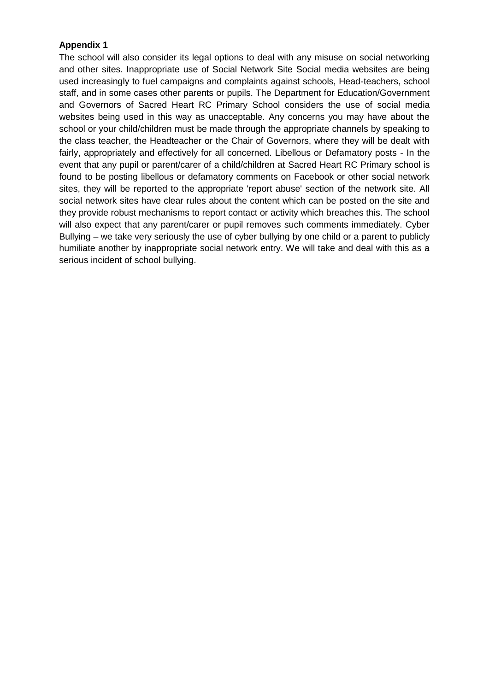# **Appendix 1**

The school will also consider its legal options to deal with any misuse on social networking and other sites. Inappropriate use of Social Network Site Social media websites are being used increasingly to fuel campaigns and complaints against schools, Head-teachers, school staff, and in some cases other parents or pupils. The Department for Education/Government and Governors of Sacred Heart RC Primary School considers the use of social media websites being used in this way as unacceptable. Any concerns you may have about the school or your child/children must be made through the appropriate channels by speaking to the class teacher, the Headteacher or the Chair of Governors, where they will be dealt with fairly, appropriately and effectively for all concerned. Libellous or Defamatory posts - In the event that any pupil or parent/carer of a child/children at Sacred Heart RC Primary school is found to be posting libellous or defamatory comments on Facebook or other social network sites, they will be reported to the appropriate 'report abuse' section of the network site. All social network sites have clear rules about the content which can be posted on the site and they provide robust mechanisms to report contact or activity which breaches this. The school will also expect that any parent/carer or pupil removes such comments immediately. Cyber Bullying – we take very seriously the use of cyber bullying by one child or a parent to publicly humiliate another by inappropriate social network entry. We will take and deal with this as a serious incident of school bullying.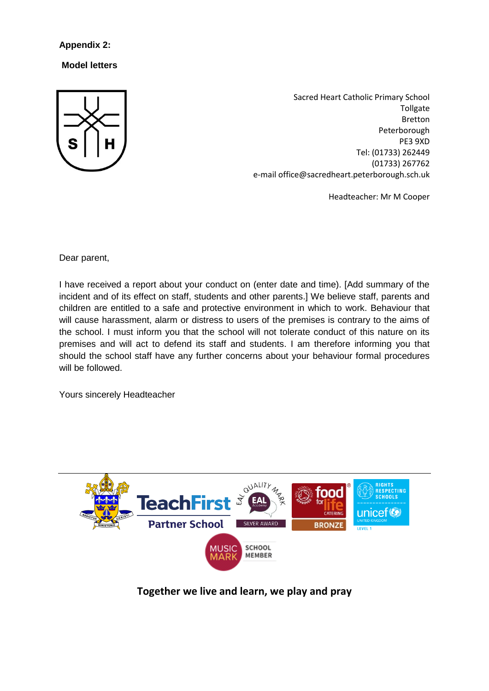**Model letters**



Sacred Heart Catholic Primary School **Tollgate** Bretton Peterborough PE3 9XD Tel: (01733) 262449 (01733) 267762 e-mail office@sacredheart.peterborough.sch.uk

Headteacher: Mr M Cooper

Dear parent,

I have received a report about your conduct on (enter date and time). [Add summary of the incident and of its effect on staff, students and other parents.] We believe staff, parents and children are entitled to a safe and protective environment in which to work. Behaviour that will cause harassment, alarm or distress to users of the premises is contrary to the aims of the school. I must inform you that the school will not tolerate conduct of this nature on its premises and will act to defend its staff and students. I am therefore informing you that should the school staff have any further concerns about your behaviour formal procedures will be followed.

Yours sincerely Headteacher

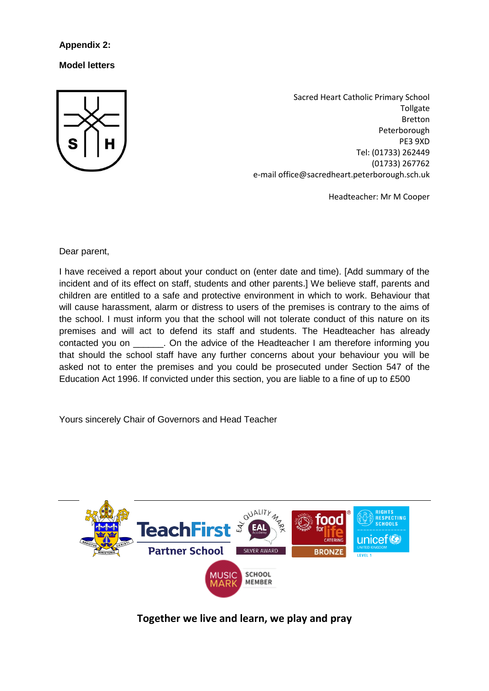**Model letters**



Sacred Heart Catholic Primary School **Tollgate** Bretton Peterborough PE3 9XD Tel: (01733) 262449 (01733) 267762 e-mail office@sacredheart.peterborough.sch.uk

Headteacher: Mr M Cooper

Dear parent,

I have received a report about your conduct on (enter date and time). [Add summary of the incident and of its effect on staff, students and other parents.] We believe staff, parents and children are entitled to a safe and protective environment in which to work. Behaviour that will cause harassment, alarm or distress to users of the premises is contrary to the aims of the school. I must inform you that the school will not tolerate conduct of this nature on its premises and will act to defend its staff and students. The Headteacher has already contacted you on \_\_\_\_\_\_. On the advice of the Headteacher I am therefore informing you that should the school staff have any further concerns about your behaviour you will be asked not to enter the premises and you could be prosecuted under Section 547 of the Education Act 1996. If convicted under this section, you are liable to a fine of up to £500

Yours sincerely Chair of Governors and Head Teacher

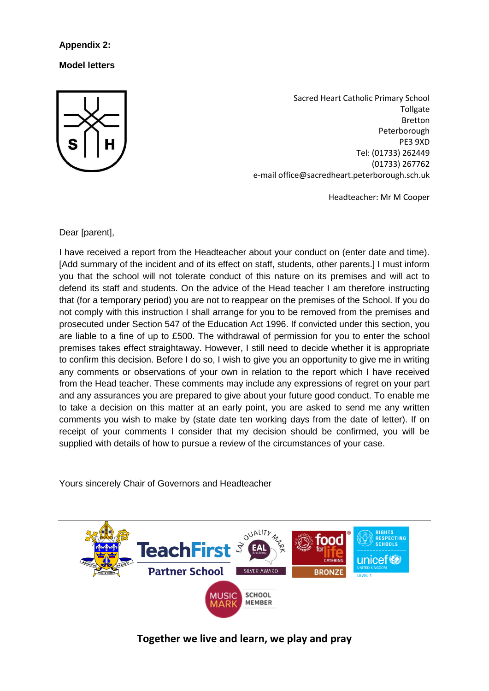**Model letters**



Sacred Heart Catholic Primary School **Tollgate** Bretton Peterborough PE3 9XD Tel: (01733) 262449 (01733) 267762 e-mail office@sacredheart.peterborough.sch.uk

Headteacher: Mr M Cooper

Dear [parent],

I have received a report from the Headteacher about your conduct on (enter date and time). [Add summary of the incident and of its effect on staff, students, other parents.] I must inform you that the school will not tolerate conduct of this nature on its premises and will act to defend its staff and students. On the advice of the Head teacher I am therefore instructing that (for a temporary period) you are not to reappear on the premises of the School. If you do not comply with this instruction I shall arrange for you to be removed from the premises and prosecuted under Section 547 of the Education Act 1996. If convicted under this section, you are liable to a fine of up to £500. The withdrawal of permission for you to enter the school premises takes effect straightaway. However, I still need to decide whether it is appropriate to confirm this decision. Before I do so, I wish to give you an opportunity to give me in writing any comments or observations of your own in relation to the report which I have received from the Head teacher. These comments may include any expressions of regret on your part and any assurances you are prepared to give about your future good conduct. To enable me to take a decision on this matter at an early point, you are asked to send me any written comments you wish to make by (state date ten working days from the date of letter). If on receipt of your comments I consider that my decision should be confirmed, you will be supplied with details of how to pursue a review of the circumstances of your case.

Yours sincerely Chair of Governors and Headteacher